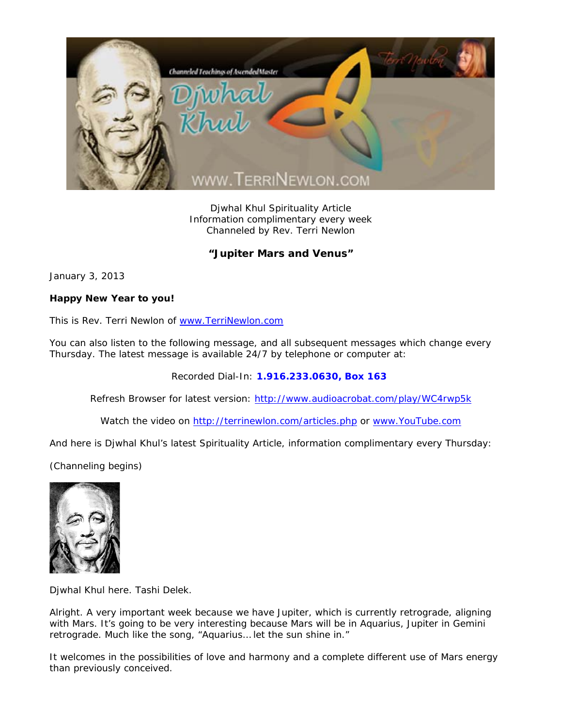

Djwhal Khul Spirituality Article Information complimentary every week Channeled by Rev. Terri Newlon

## **"Jupiter Mars and Venus"**

January 3, 2013

## **Happy New Year to you!**

This is Rev. Terri Newlon of www.TerriNewlon.com

You can also listen to the following message, and all subsequent messages which change every Thursday. The latest message is available 24/7 by telephone or computer at:

Recorded Dial-In: **1.916.233.0630, Box 163** 

Refresh Browser for latest version: http://www.audioacrobat.com/play/WC4rwp5k

Watch the video on http://terrinewlon.com/articles.php or www.YouTube.com

And here is Djwhal Khul's latest Spirituality Article, information complimentary every Thursday:

(Channeling begins)



Djwhal Khul here. Tashi Delek.

Alright. A very important week because we have Jupiter, which is currently retrograde, aligning with Mars. It's going to be very interesting because Mars will be in Aquarius, Jupiter in Gemini retrograde. Much like the song, "Aquarius… let the sun shine in."

It welcomes in the possibilities of love and harmony and a complete different use of Mars energy than previously conceived.